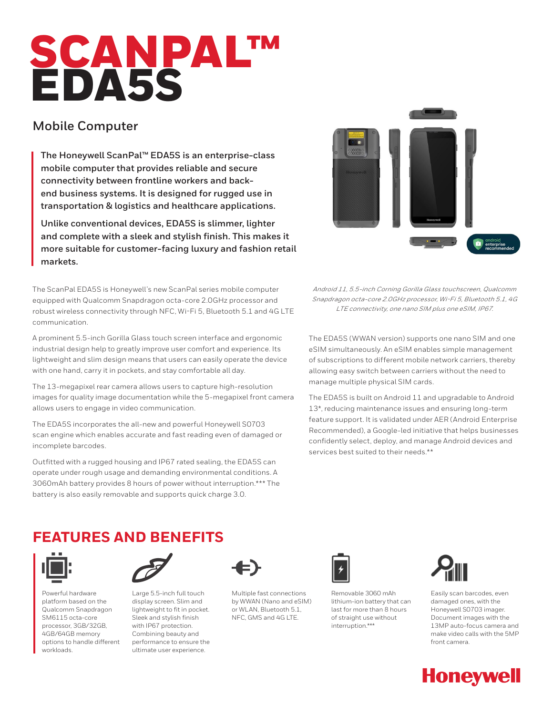# SCANPAL™ EDA5S

## **Mobile Computer**

**The Honeywell ScanPal™ EDA5S is an enterprise-class mobile computer that provides reliable and secure connectivity between frontline workers and backend business systems. It is designed for rugged use in transportation & logistics and healthcare applications.**

**Unlike conventional devices, EDA5S is slimmer, lighter and complete with a sleek and stylish finish. This makes it more suitable for customer-facing luxury and fashion retail markets.**

The ScanPal EDA5S is Honeywell's new ScanPal series mobile computer equipped with Qualcomm Snapdragon octa-core 2.0GHz processor and robust wireless connectivity through NFC, Wi-Fi 5, Bluetooth 5.1 and 4G LTE communication.

A prominent 5.5-inch Gorilla Glass touch screen interface and ergonomic industrial design help to greatly improve user comfort and experience. Its lightweight and slim design means that users can easily operate the device with one hand, carry it in pockets, and stay comfortable all day.

The 13-megapixel rear camera allows users to capture high-resolution images for quality image documentation while the 5-megapixel front camera allows users to engage in video communication.

The EDA5S incorporates the all-new and powerful Honeywell S0703 scan engine which enables accurate and fast reading even of damaged or incomplete barcodes.

Outfitted with a rugged housing and IP67 rated sealing, the EDA5S can operate under rough usage and demanding environmental conditions. A 3060mAh battery provides 8 hours of power without interruption.\*\*\* The battery is also easily removable and supports quick charge 3.0.



Android 11, 5.5-inch Corning Gorilla Glass touchscreen, Qualcomm Snapdragon octa-core 2.0GHz processor, Wi-Fi 5, Bluetooth 5.1, 4G LTE connectivity, one nano SIM plus one eSIM, IP67.

The EDA5S (WWAN version) supports one nano SIM and one eSIM simultaneously. An eSIM enables simple management of subscriptions to different mobile network carriers, thereby allowing easy switch between carriers without the need to manage multiple physical SIM cards.

The EDA5S is built on Android 11 and upgradable to Android 13\*, reducing maintenance issues and ensuring long-term feature support. It is validated under AER (Android Enterprise Recommended), a Google-led initiative that helps businesses confidently select, deploy, and manage Android devices and services best suited to their needs.\*\*

# **FEATURES AND BENEFITS**



Powerful hardware platform based on the Qualcomm Snapdragon SM6115 octa-core processor, 3GB/32GB, 4GB/64GB memory options to handle different workloads.



Large 5.5-inch full touch display screen. Slim and lightweight to fit in pocket. Sleek and stylish finish with IP67 protection. Combining beauty and performance to ensure the ultimate user experience.



Multiple fast connections by WWAN (Nano and eSIM) or WLAN, Bluetooth 5.1, NFC, GMS and 4G LTE.



Removable 3060 mAh lithium-ion battery that can last for more than 8 hours of straight use without interruption.\*\*\*



Easily scan barcodes, even damaged ones, with the Honeywell S0703 imager. Document images with the 13MP auto-focus camera and make video calls with the 5MP front camera.